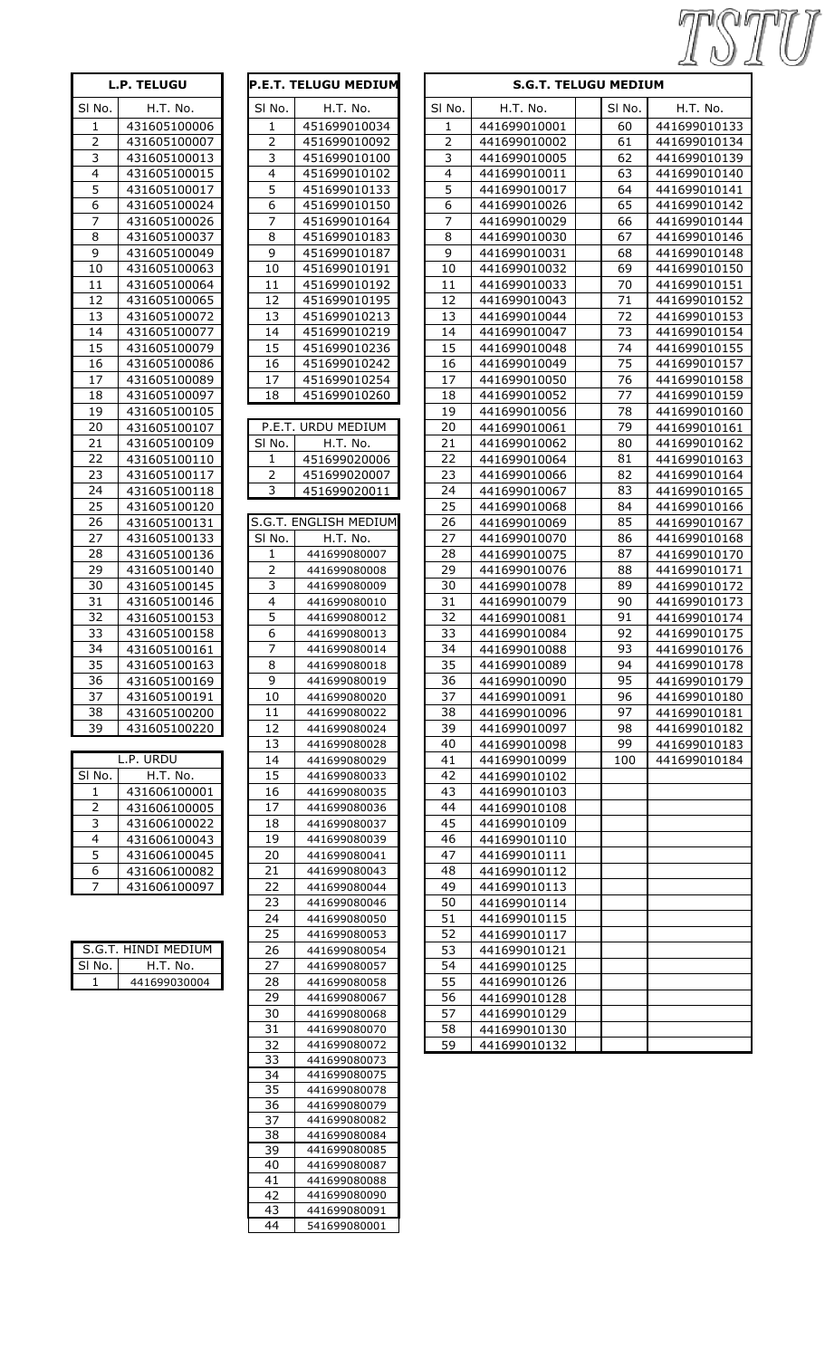| <b>L.P. TELUGU</b> |              | P.E.T. TELUGU MEDIUM |                         |                       | <b>S.G.T. TE</b>        |              |  |
|--------------------|--------------|----------------------|-------------------------|-----------------------|-------------------------|--------------|--|
| SI No.             | H.T. No.     |                      | SI No.                  | H.T. No.              | SI No.                  | H.T. No.     |  |
| $\mathbf{1}$       | 431605100006 |                      | 1                       | 451699010034          | $\mathbf{1}$            | 441699010001 |  |
| $\overline{2}$     | 431605100007 |                      | $\overline{2}$          | 451699010092          | $\overline{2}$          | 441699010002 |  |
| $\overline{3}$     | 431605100013 |                      | 3                       | 451699010100          | $\overline{\mathbf{3}}$ | 441699010005 |  |
| $\overline{4}$     | 431605100015 |                      | $\overline{\mathbf{4}}$ | 451699010102          | $\overline{4}$          | 441699010011 |  |
| $\overline{5}$     | 431605100017 |                      | 5                       | 451699010133          | $\overline{5}$          | 441699010017 |  |
| $\overline{6}$     | 431605100024 |                      | 6                       | 451699010150          | $\overline{6}$          | 441699010026 |  |
| $\overline{7}$     | 431605100026 |                      | 7                       | 451699010164          | $\overline{7}$          | 441699010029 |  |
| 8                  | 431605100037 |                      | 8                       | 451699010183          | 8                       | 441699010030 |  |
| $\overline{9}$     | 431605100049 |                      | 9                       | 451699010187          | $\overline{9}$          | 441699010031 |  |
| 10                 | 431605100063 |                      | 10                      | 451699010191          | 10                      | 441699010032 |  |
| 11                 | 431605100064 |                      | 11                      | 451699010192          | 11                      | 441699010033 |  |
| 12                 | 431605100065 |                      | 12                      | 451699010195          | 12                      | 441699010043 |  |
| 13                 | 431605100072 |                      | 13                      | 451699010213          | 13                      | 441699010044 |  |
| 14                 | 431605100077 |                      | 14                      | 451699010219          | 14                      | 441699010047 |  |
| 15                 | 431605100079 |                      | 15                      | 451699010236          | 15                      | 441699010048 |  |
| 16                 | 431605100086 |                      | 16                      | 451699010242          | 16                      | 441699010049 |  |
| 17                 | 431605100089 |                      | 17                      | 451699010254          | 17                      | 441699010050 |  |
| 18                 | 431605100097 |                      | 18                      | 451699010260          | 18                      | 441699010052 |  |
| 19                 | 431605100105 |                      |                         |                       | 19                      | 441699010056 |  |
| 20                 | 431605100107 |                      |                         | P.E.T. URDU MEDIUM    | 20                      | 441699010061 |  |
| 21                 | 431605100109 |                      | SI No.                  | H.T. No.              | 21                      | 441699010062 |  |
| 22                 | 431605100110 |                      | 1                       | 451699020006          | 22                      | 441699010064 |  |
| 23                 | 431605100117 |                      | 2                       | 451699020007          | 23                      | 441699010066 |  |
| 24                 | 431605100118 |                      | 3                       | 451699020011          | 24                      | 441699010067 |  |
| 25                 | 431605100120 |                      |                         |                       | 25                      | 441699010068 |  |
| 26                 | 431605100131 |                      |                         | S.G.T. ENGLISH MEDIUM | 26                      | 441699010069 |  |
| 27                 | 431605100133 |                      | SI No.                  | H.T. No.              | 27                      | 441699010070 |  |
| 28                 | 431605100136 |                      | 1                       | 441699080007          | 28                      | 441699010075 |  |
| 29                 | 431605100140 |                      | $\overline{2}$          | 441699080008          | 29                      | 441699010076 |  |
| 30                 | 431605100145 |                      | 3                       | 441699080009          | 30                      | 441699010078 |  |
| 31                 | 431605100146 |                      | 4                       | 441699080010          | 31                      | 441699010079 |  |
| $\overline{32}$    | 431605100153 |                      | 5                       | 441699080012          | 32                      | 441699010081 |  |
| 33                 | 431605100158 |                      | 6                       | 441699080013          | 33                      | 441699010084 |  |
| 34                 | 431605100161 |                      | $\overline{7}$          | 441699080014          | 34                      | 441699010088 |  |
| $\overline{35}$    | 431605100163 |                      | $\overline{8}$          | 441699080018          | 35                      | 441699010089 |  |
| 36                 | 431605100169 |                      | 9                       | 441699080019          | 36                      | 441699010090 |  |
| 37                 | 431605100191 |                      | 10                      | 441699080020          | 37                      | 441699010091 |  |
| 38                 | 431605100200 |                      | 11                      | 441699080022          | 38                      | 441699010096 |  |
| 39                 | 431605100220 |                      | 12                      | 441699080024          | 39                      | 441699010097 |  |
|                    |              |                      | 13                      | 441699080028          | 40                      | 441699010098 |  |
|                    | L.P. URDU    |                      | 14                      | 441699080029          | 41                      | 441699010099 |  |
| SI No.             | H.T. No.     |                      | 15                      | 441699080033          | 42                      | 441699010102 |  |
| 1                  | 431606100001 |                      | 16                      | 441699080035          | 43                      | 441699010103 |  |

| L.P. URDU |              |  |  |  |
|-----------|--------------|--|--|--|
| SI No.    | H.T. No.     |  |  |  |
| 1         | 431606100001 |  |  |  |
| 2         | 431606100005 |  |  |  |
| 3         | 431606100022 |  |  |  |
| 4         | 431606100043 |  |  |  |
| 5         | 431606100045 |  |  |  |
| 6         | 431606100082 |  |  |  |
|           | 431606100097 |  |  |  |

| S.G.T. HINDI MEDIUM |              |  |  |  |
|---------------------|--------------|--|--|--|
| SI No.              | H.T. No.     |  |  |  |
|                     | 441699030004 |  |  |  |

|                                  | <b>L.P. TELUGU</b>           |                                  | <b>P.E.T. TELUGU MEDIUM</b>  |                                  | <b>S.G.T. TE</b>             |
|----------------------------------|------------------------------|----------------------------------|------------------------------|----------------------------------|------------------------------|
| SI No.                           | H.T. No.                     | SI No.                           | H.T. No.                     | SI No.                           | H.T. No.                     |
| 1                                | 431605100006                 | 1                                | 451699010034                 | 1                                | 441699010001                 |
| 2                                | 431605100007                 | $\mathbf 2$                      | 451699010092                 | $\overline{2}$                   | 441699010002                 |
| $\overline{\mathbf{3}}$          | 431605100013                 | $\overline{\mathbf{3}}$          | 451699010100                 | 3                                | 441699010005                 |
| $\overline{4}$                   | 431605100015                 | $\overline{4}$                   | 451699010102                 | $\overline{\mathbf{4}}$          | 441699010011                 |
| $\overline{5}$                   | 431605100017                 | 5                                | 451699010133                 | $\overline{5}$                   | 441699010017                 |
| $\overline{6}$<br>$\overline{7}$ | 431605100024                 | $\overline{6}$<br>$\overline{7}$ | 451699010150                 | $\overline{6}$<br>$\overline{7}$ | 441699010026                 |
| 8                                | 431605100026<br>431605100037 | 8                                | 451699010164<br>451699010183 | 8                                | 441699010029<br>441699010030 |
| $\overline{9}$                   | 431605100049                 | $\overline{9}$                   | 451699010187                 | $\overline{9}$                   | 441699010031                 |
| 10                               | 431605100063                 | 10                               | 451699010191                 | 10                               | 441699010032                 |
| 11                               | 431605100064                 | 11                               | 451699010192                 | 11                               | 441699010033                 |
| 12                               | 431605100065                 | 12                               | 451699010195                 | 12                               | 441699010043                 |
| 13                               | 431605100072                 | 13                               | 451699010213                 | 13                               | 441699010044                 |
| 14                               | 431605100077                 | 14                               | 451699010219                 | 14                               | 441699010047                 |
| 15                               | 431605100079                 | 15                               | 451699010236                 | 15                               | 441699010048                 |
| 16<br>17                         | 431605100086<br>431605100089 | 16<br>17                         | 451699010242<br>451699010254 | 16<br>17                         | 441699010049<br>441699010050 |
| 18                               | 431605100097                 | 18                               | 451699010260                 | 18                               | 441699010052                 |
| 19                               | 431605100105                 |                                  |                              | 19                               | 441699010056                 |
| 20                               | 431605100107                 |                                  | P.E.T. URDU MEDIUM           | 20                               | 441699010061                 |
| 21                               | 431605100109                 | SI No.                           | H.T. No.                     | 21                               | 441699010062                 |
| 22                               | 431605100110                 | 1                                | 451699020006                 | 22                               | 441699010064                 |
| 23                               | 431605100117                 | $\overline{2}$                   | 451699020007                 | 23                               | 441699010066                 |
| 24                               | 431605100118                 | $\overline{\mathbf{3}}$          | 451699020011                 | 24                               | 441699010067                 |
| 25                               | 431605100120                 |                                  | S.G.T. ENGLISH MEDIUM        | 25                               | 441699010068                 |
| 26<br>27                         | 431605100131<br>431605100133 | SI No.                           | H.T. No.                     | 26<br>27                         | 441699010069<br>441699010070 |
| 28                               | 431605100136                 | 1                                | 441699080007                 | 28                               | 441699010075                 |
| 29                               | 431605100140                 | $\overline{2}$                   | 441699080008                 | 29                               | 441699010076                 |
| 30                               | 431605100145                 | $\overline{3}$                   | 441699080009                 | 30                               | 441699010078                 |
| 31                               | 431605100146                 | $\overline{4}$                   | 441699080010                 | 31                               | 441699010079                 |
| 32                               | 431605100153                 | $\overline{5}$                   | 441699080012                 | 32                               | 441699010081                 |
| 33                               | 431605100158                 | $\overline{6}$                   | 441699080013                 | 33                               | 441699010084                 |
| 34                               | 431605100161                 | 7                                | 441699080014                 | 34                               | 441699010088                 |
| 35<br>36                         | 431605100163                 | $\overline{8}$<br>9              | 441699080018                 | 35                               | 441699010089                 |
| 37                               | 431605100169<br>431605100191 | 10                               | 441699080019<br>441699080020 | 36<br>37                         | 441699010090<br>441699010091 |
| 38                               | 431605100200                 | 11                               | 441699080022                 | 38                               | 441699010096                 |
| 39                               | 431605100220                 | 12                               | 441699080024                 | 39                               | 441699010097                 |
|                                  |                              | 13                               | 441699080028                 | 40                               | 441699010098                 |
|                                  | L.P. URDU                    | 14                               | 441699080029                 | 41                               | 441699010099                 |
| SI No.                           | H.T. No.                     | 15                               | 441699080033                 | 42                               | 441699010102                 |
| 1                                | 431606100001                 | 16                               | 441699080035                 | 43                               | 441699010103                 |
| $\overline{2}$<br>3              | 431606100005<br>431606100022 | 17<br>18                         | 441699080036<br>441699080037 | 44<br>45                         | 441699010108<br>441699010109 |
| 4                                | 431606100043                 | 19                               | 441699080039                 | 46                               | 441699010110                 |
| 5                                | 431606100045                 | 20                               | 441699080041                 | 47                               | 441699010111                 |
| 6                                | 431606100082                 | 21                               | 441699080043                 | 48                               | 441699010112                 |
| 7                                | 431606100097                 | 22                               | 441699080044                 | 49                               | 441699010113                 |
|                                  |                              | 23                               | 441699080046                 | 50                               | 441699010114                 |
|                                  |                              | 24                               | 441699080050                 | 51                               | 441699010115                 |
|                                  |                              | 25                               | 441699080053                 | 52                               | 441699010117                 |
|                                  | S.G.T. HINDI MEDIUM          | 26<br>27                         | 441699080054                 | 53                               | 441699010121                 |
| SI No.<br>1                      | H.T. No.<br>441699030004     | 28                               | 441699080057<br>441699080058 | 54<br>55                         | 441699010125<br>441699010126 |
|                                  |                              | 29                               | 441699080067                 | 56                               | 441699010128                 |
|                                  |                              | 30                               | 441699080068                 | 57                               | 441699010129                 |
|                                  |                              | 31                               | 441699080070                 | 58                               | 441699010130                 |
|                                  |                              | 32                               | 441699080072                 | 59                               | 441699010132                 |
|                                  |                              | 33                               | 441699080073                 |                                  |                              |
|                                  |                              | 34<br>35                         | 441699080075<br>441699080078 |                                  |                              |
|                                  |                              | 36                               | 441699080079                 |                                  |                              |
|                                  |                              | 37                               | 441699080082                 |                                  |                              |
|                                  |                              | 38                               | 441699080084                 |                                  |                              |
|                                  |                              | 39                               | 441699080085                 |                                  |                              |
|                                  |                              | 40<br>41                         | 441699080087                 |                                  |                              |
|                                  |                              | 42                               | 441699080088<br>441699080090 |                                  |                              |
|                                  |                              | 43                               | 441699080091                 |                                  |                              |
|                                  |                              | 44                               | 541699080001                 |                                  |                              |
|                                  |                              |                                  |                              |                                  |                              |

| <b>L.P. TELUGU</b>      |                              |                         | <b>P.E.T. TELUGU MEDIUM</b>  |                         | <b>S.G.T. TELUGU MEDIUM</b>  |  |          |                              |
|-------------------------|------------------------------|-------------------------|------------------------------|-------------------------|------------------------------|--|----------|------------------------------|
| SI No.                  | H.T. No.                     | SI No.                  | H.T. No.                     | SI No.                  | H.T. No.                     |  | SI No.   | H.T. No.                     |
| 1                       | 431605100006                 | 1                       | 451699010034                 | 1                       | 441699010001                 |  | 60       | 441699010133                 |
| $\overline{2}$          | 431605100007                 | 2                       | 451699010092                 | $\overline{2}$          | 441699010002                 |  | 61       | 441699010134                 |
| 3                       | 431605100013                 | 3                       | 451699010100                 | 3                       | 441699010005                 |  | 62       | 441699010139                 |
| 4                       | 431605100015                 | $\overline{\mathbf{4}}$ | 451699010102                 | $\overline{\mathbf{4}}$ | 441699010011                 |  | 63       | 441699010140                 |
| 5                       | 431605100017                 | 5                       | 451699010133                 | 5                       | 441699010017                 |  | 64       | 441699010141                 |
| 6                       | 431605100024                 | 6                       | 451699010150                 | 6                       | 441699010026                 |  | 65       | 441699010142                 |
| $\overline{7}$          | 431605100026                 | $\overline{7}$          | 451699010164                 | $\overline{7}$          | 441699010029                 |  | 66       | 441699010144                 |
| $\,8\,$                 | 431605100037                 | 8                       | 451699010183                 | 8                       | 441699010030                 |  | 67       | 441699010146                 |
| $\overline{9}$          | 431605100049                 | $\overline{9}$          | 451699010187                 | $\overline{9}$          | 441699010031                 |  | 68       | 441699010148                 |
| 10                      | 431605100063                 | 10                      | 451699010191                 | 10                      | 441699010032                 |  | 69       | 441699010150                 |
| 11                      | 431605100064                 | 11                      | 451699010192                 | 11                      | 441699010033                 |  | 70       | 441699010151                 |
| 12                      | 431605100065                 | 12                      | 451699010195                 | 12                      | 441699010043                 |  | 71       | 441699010152                 |
| 13                      | 431605100072                 | 13                      | 451699010213                 | 13                      | 441699010044                 |  | 72       | 441699010153                 |
| 14                      | 431605100077                 | 14                      | 451699010219                 | 14                      | 441699010047                 |  | 73       | 441699010154                 |
| 15                      | 431605100079                 | 15                      | 451699010236                 | 15                      | 441699010048                 |  | 74       | 441699010155                 |
| 16                      | 431605100086                 | 16                      | 451699010242                 | 16                      | 441699010049                 |  | 75       | 441699010157                 |
| 17                      | 431605100089                 | 17                      | 451699010254                 | 17                      | 441699010050                 |  | 76       | 441699010158                 |
| 18                      | 431605100097                 | 18                      | 451699010260                 | 18                      | 441699010052                 |  | 77       | 441699010159                 |
| 19                      | 431605100105                 |                         |                              | 19                      | 441699010056                 |  | 78       | 441699010160                 |
| 20                      | 431605100107                 |                         | P.E.T. URDU MEDIUM           | 20                      | 441699010061                 |  | 79       | 441699010161                 |
| 21                      | 431605100109                 | SI No.                  | H.T. No.                     | 21                      | 441699010062                 |  | 80       | 441699010162                 |
| 22<br>23                | 431605100110                 | 1                       | 451699020006                 | 22<br>23                | 441699010064                 |  | 81<br>82 | 441699010163                 |
| 24                      | 431605100117<br>431605100118 | 2<br>3                  | 451699020007<br>451699020011 | 24                      | 441699010066<br>441699010067 |  | 83       | 441699010164<br>441699010165 |
| 25                      | 431605100120                 |                         |                              | 25                      | 441699010068                 |  | 84       | 441699010166                 |
| 26                      | 431605100131                 |                         | S.G.T. ENGLISH MEDIUM        | 26                      | 441699010069                 |  | 85       | 441699010167                 |
| 27                      | 431605100133                 | SI No.                  | H.T. No.                     | 27                      | 441699010070                 |  | 86       | 441699010168                 |
| 28                      | 431605100136                 | 1                       | 441699080007                 | 28                      | 441699010075                 |  | 87       | 441699010170                 |
| 29                      | 431605100140                 | 2                       | 441699080008                 | 29                      | 441699010076                 |  | 88       | 441699010171                 |
| 30                      | 431605100145                 | 3                       | 441699080009                 | 30                      | 441699010078                 |  | 89       | 441699010172                 |
| 31                      | 431605100146                 | $\overline{\mathbf{4}}$ | 441699080010                 | 31                      | 441699010079                 |  | 90       | 441699010173                 |
| 32                      | 431605100153                 | 5                       | 441699080012                 | 32                      | 441699010081                 |  | 91       | 441699010174                 |
| 33                      | 431605100158                 | $\overline{6}$          | 441699080013                 | 33                      | 441699010084                 |  | 92       | 441699010175                 |
| 34                      | 431605100161                 | 7                       | 441699080014                 | 34                      | 441699010088                 |  | 93       | 441699010176                 |
| 35                      | 431605100163                 | 8                       | 441699080018                 | 35                      | 441699010089                 |  | 94       | 441699010178                 |
| $\overline{36}$         | 431605100169                 | 9                       | 441699080019                 | 36                      | 441699010090                 |  | 95       | 441699010179                 |
| 37                      | 431605100191                 | 10                      | 441699080020                 | 37                      | 441699010091                 |  | 96       | 441699010180                 |
| 38                      | 431605100200                 | 11                      | 441699080022                 | 38                      | 441699010096                 |  | 97       | 441699010181                 |
| 39                      | 431605100220                 | 12                      | 441699080024                 | 39                      | 441699010097                 |  | 98       | 441699010182                 |
|                         | L.P. URDU                    | 13                      | 441699080028                 | 40                      | 441699010098                 |  | 99       | 441699010183                 |
| SI No.                  |                              | 14<br>15                | 441699080029<br>441699080033 | 41<br>42                | 441699010099                 |  | 100      | 441699010184                 |
| 1                       | H.T. No.<br>431606100001     | 16                      | 441699080035                 | 43                      | 441699010102<br>441699010103 |  |          |                              |
| $\overline{2}$          | 431606100005                 | 17                      | 441699080036                 | 44                      | 441699010108                 |  |          |                              |
| 3                       | 431606100022                 | 18                      | 441699080037                 | 45                      | 441699010109                 |  |          |                              |
| $\overline{\mathbf{4}}$ | 431606100043                 | 19                      | 441699080039                 | 46                      | 441699010110                 |  |          |                              |
| 5                       | 431606100045                 | 20                      | 441699080041                 | 47                      | 441699010111                 |  |          |                              |
| 6                       | 431606100082                 | 21                      | 441699080043                 | 48                      | 441699010112                 |  |          |                              |
| $\overline{7}$          | 431606100097                 | 22                      | 441699080044                 | 49                      | 441699010113                 |  |          |                              |
|                         |                              | 23                      | 441699080046                 | 50                      | 441699010114                 |  |          |                              |
|                         |                              | 24                      | 441699080050                 | 51                      | 441699010115                 |  |          |                              |
|                         |                              | 25                      | 441699080053                 | 52                      | 441699010117                 |  |          |                              |
|                         | S.G.T. HINDI MEDIUM          | 26                      | 441699080054                 | 53                      | 441699010121                 |  |          |                              |
| SI No.                  | H.T. No.                     | 27                      | 441699080057                 | 54                      | 441699010125                 |  |          |                              |
| -1                      | 441699030004                 | 28                      | 441699080058                 | 55                      | 441699010126                 |  |          |                              |
|                         |                              | 29                      | 441699080067                 | 56                      | 441699010128                 |  |          |                              |
|                         |                              | 30                      | 441699080068                 | 57                      | 441699010129                 |  |          |                              |
|                         |                              | 31<br>32                | 441699080070<br>441699080072 | 58<br>59                | 441699010130                 |  |          |                              |
|                         |                              |                         |                              |                         | <u>441699010132</u>          |  |          |                              |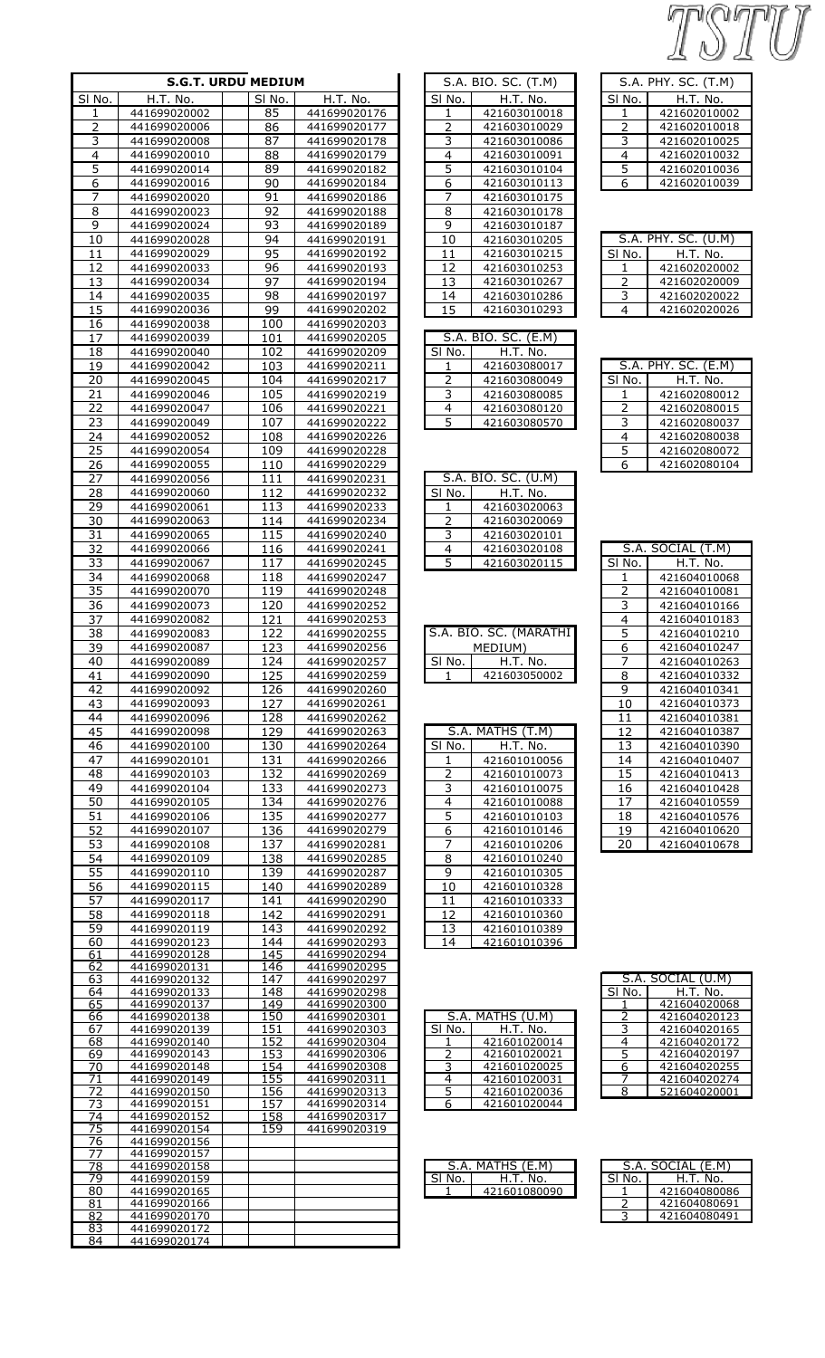TSTU

| <b>S.G.T. URDU MEDIUM</b> |                              |                            |                              |  |  |
|---------------------------|------------------------------|----------------------------|------------------------------|--|--|
| SI No.                    | H.T. No.                     | SI No.                     | H.T. No.                     |  |  |
| 1                         | 441699020002                 | 85                         | 441699020176                 |  |  |
| 2                         | 441699020006                 | 86                         | 441699020177                 |  |  |
| 3                         | 441699020008                 | 87                         | 441699020178                 |  |  |
| 4                         | 441699020010                 | 88                         | 441699020179                 |  |  |
| 5                         | 441699020014                 | 89                         | 441699020182                 |  |  |
| 6                         | 441699020016                 | 90                         | 441699020184                 |  |  |
| 7<br>8                    | 441699020020<br>441699020023 | 91<br>92                   | 441699020186<br>441699020188 |  |  |
| 9                         | 441699020024                 | 93                         | 441699020189                 |  |  |
| 10                        | 441699020028                 | 94                         | 441699020191                 |  |  |
| 11                        | 441699020029                 | 95                         | 441699020192                 |  |  |
| 12                        | 441699020033                 | 96                         | 441699020193                 |  |  |
| 13                        | 441699020034                 | 97                         | 441699020194                 |  |  |
| 14                        | 441699020035                 | 98                         | 441699020197                 |  |  |
| 15                        | 441699020036                 | 99                         | 441699020202                 |  |  |
| 16                        | 441699020038                 | 100                        | 441699020203                 |  |  |
| 17                        | 441699020039                 | 101                        | 441699020205                 |  |  |
| 18                        | 441699020040                 | 102                        | 441699020209                 |  |  |
| 19                        | 441699020042                 | 103                        | 441699020211                 |  |  |
| 20<br>21                  | 441699020045<br>441699020046 | 104<br>105                 | 441699020217<br>441699020219 |  |  |
| 22                        | 441699020047                 | 106                        | 441699020221                 |  |  |
| 23                        | 441699020049                 | 107                        | 441699020222                 |  |  |
| 24                        | 441699020052                 | 108                        | 441699020226                 |  |  |
| 25                        | 441699020054                 | 109                        | 441699020228                 |  |  |
| 26                        | 441699020055                 | 110                        | 441699020229                 |  |  |
| 27                        | 441699020056                 | 111                        | 441699020231                 |  |  |
| 28                        | 441699020060                 | 112                        | 441699020232                 |  |  |
| <u> 29</u>                | 441699020061                 | 113                        | 441699020233                 |  |  |
| 30                        | 441699020063                 | 114                        | 441699020234                 |  |  |
| 31                        | 441699020065                 | 115                        | 441699020240                 |  |  |
| 32<br>33                  | 441699020066                 | 116<br>117                 | 441699020241                 |  |  |
| 34                        | 441699020067<br>441699020068 | 118                        | 441699020245<br>441699020247 |  |  |
| 35                        | 441699020070                 | 119                        | 441699020248                 |  |  |
| 36                        | 441699020073                 | 120                        | 441699020252                 |  |  |
| 37                        | 441699020082                 | 121                        | 441699020253                 |  |  |
| 38                        | 441699020083                 | 122                        | 441699020255                 |  |  |
| 39                        | 441699020087                 | $\overline{123}$           | 441699020256                 |  |  |
| 40                        | 441699020089                 | 124                        | 441699020257                 |  |  |
| 41                        | 441699020090                 | $\overline{1}$ 25          | 441699020259                 |  |  |
| 42                        | 441699020092                 | 126                        | 441699020260                 |  |  |
| 43                        | 441699020093                 | 127                        | 441699020261                 |  |  |
| 44<br>45                  | 441699020096<br>441699020098 | <u> 128</u><br>129         | 441699020262<br>441699020263 |  |  |
| 46                        | 441699020100                 | 130                        | 441699020264                 |  |  |
| 47                        | 441699020101                 | 131                        | 441699020266                 |  |  |
| 48                        | 441699020103                 | 132                        | 441699020269                 |  |  |
| 49                        | 441699020104                 | 133                        | 441699020273                 |  |  |
| 50                        | 441699020105                 | 134                        | 441699020276                 |  |  |
| 51                        | 441699020106                 | 135                        | 441699020277                 |  |  |
| <u>52</u>                 | 441699020107                 | 136                        | 441699020279                 |  |  |
| 53                        | 441699020108                 | 137                        | 441699020281                 |  |  |
| 54                        | 441699020109                 | 138                        | 441699020285                 |  |  |
| 55                        | 441699020110                 | 139                        | 441699020287                 |  |  |
| <u>56</u><br>57           | 441699020115<br>441699020117 | 140<br>141                 | 441699020289<br>441699020290 |  |  |
| 58                        | 441699020118                 | 142                        | 441699020291                 |  |  |
| 59                        | 441699020119                 | 143                        | 441699020292                 |  |  |
| 60                        | 441699020123                 | 144                        | 441699020293                 |  |  |
| 61                        | 441699020128                 | 145                        | 441699020294                 |  |  |
| 62                        | 441699020131                 | 146<br>147                 | 441699020295                 |  |  |
| 63<br>64                  | 441699020132<br>441699020133 | 148                        | 441699020297<br>441699020298 |  |  |
| 65                        | 441699020137                 | 149                        | 441699020300                 |  |  |
| 66                        | 441699020138                 | <u>150</u>                 | 441699020301                 |  |  |
| 67                        | 441699020139                 | 151                        | 441699020303                 |  |  |
| 68<br>69                  | 441699020140<br>441699020143 | <u> 152</u><br><u> 153</u> | 441699020304<br>441699020306 |  |  |
| 70                        | 441699020148                 | 154                        | 441699020308                 |  |  |
| 71                        | 441699020149                 | 155                        | 441699020311                 |  |  |
| 72                        | 441699020150                 | 156                        | 441699020313                 |  |  |
| 73<br>74                  | 441699020151<br>441699020152 | 157<br>158                 | 441699020314<br>441699020317 |  |  |
| 75                        | 441699020154                 | 159                        | 441699020319                 |  |  |
| 76                        | 441699020156                 |                            |                              |  |  |
| 77                        | 441699020157                 |                            |                              |  |  |
| 78                        | 441699020158<br>441699020159 |                            |                              |  |  |
| 79<br>80                  | 441699020165                 |                            |                              |  |  |
| 81                        | 441699020166                 |                            |                              |  |  |
| 82                        | 441699020170                 |                            |                              |  |  |
| 83<br>O <sub>A</sub>      | 441699020172<br>111600030174 |                            |                              |  |  |

|                              | S.A. BIO. SC. (T.M)                     |
|------------------------------|-----------------------------------------|
| $\overline{\mathsf{SI}}$ No. | H.T. No.                                |
| 1                            | 421603010018                            |
| 2                            | 421603010029                            |
|                              | 421603010086                            |
| $\overline{4}$               | 421603010091                            |
| 5                            | 421603010104                            |
| 6                            | 421603010113                            |
| 7                            | 421603010175                            |
| 8                            | 421603010178                            |
| $\overline{9}$               | 421603010187                            |
| $\overline{10}$              | 421603010205                            |
| $\overline{11}$              | 421603010215                            |
|                              |                                         |
| <u>12</u>                    | 421603010253                            |
| $\overline{13}$              | 421603010267                            |
| $\overline{14}$              | 421603010286                            |
| $\overline{15}$              | 421603010293                            |
|                              |                                         |
|                              | S.A. BIO. SC. (E.M)<br>  No.   H.T. No. |
| SI No.                       |                                         |
| $\mathbf{1}$                 | 421603080017                            |
| $\overline{2}$               | 421603080049                            |
| $\overline{3}$               | 421603080085                            |
| 4                            | 421603080120                            |
| $\overline{5}$               | 421603080570                            |
|                              |                                         |
|                              | S.A. BIO. SC. (U.M)                     |
| SI No.                       | <u>H.T. No. .</u>                       |
| $\mathbf{1}$                 | 421603020063                            |
| $\overline{2}$               | 421603020069                            |
| $\overline{3}$               | 421603020101                            |
| 4                            | 421603020108                            |
| 5                            | 421603020115                            |
|                              |                                         |
|                              | S.A. BIO. SC. (MARATHI                  |
|                              | <u>MEDIUM)</u>                          |
| <u>SI No.</u>                | H.T. No.                                |
|                              | $-42160$                                |
|                              |                                         |
|                              |                                         |
| 5.A.<br>ŗ                    | MATHS (T.M)                             |
| SI No.                       | H.T. No.                                |
| 1                            | 421601010056                            |
|                              | 421601010073                            |
| 3                            | 421601010075                            |
| 4                            | 421601010088                            |
|                              |                                         |
| 5                            | 421601010103                            |
| 6                            | 421601010146                            |
| 7                            | 421601010206                            |
| 8                            | 421601010240                            |
| 9                            | 421601010305                            |
| 10                           | 421601010328                            |
| 11                           | 421601010333                            |
| 12                           | 421601010360                            |
| 13                           | 421601010389                            |
| 14                           | 421601010396                            |
|                              |                                         |

| S.A. PHY. SC. (T.M) |              |  |  |  |
|---------------------|--------------|--|--|--|
| SI No.              | H.T. No.     |  |  |  |
|                     | 421602010002 |  |  |  |
| 2                   | 421602010018 |  |  |  |
| 3                   | 421602010025 |  |  |  |
| 4                   | 421602010032 |  |  |  |
| 5                   | 421602010036 |  |  |  |
| 6                   | 421602010039 |  |  |  |
|                     |              |  |  |  |

| $S.A.$ PHY. $SC.$ $(U.M)$ |              |  |  |
|---------------------------|--------------|--|--|
| SI No.                    | H.T. No.     |  |  |
|                           | 421602020002 |  |  |
| $\mathcal{P}$             | 421602020009 |  |  |
| 3                         | 421602020022 |  |  |
|                           | 421602020026 |  |  |

| S.A. PHY. SC. (E.M) |              |  |  |  |
|---------------------|--------------|--|--|--|
| SI No.              | H.T. No.     |  |  |  |
|                     | 421602080012 |  |  |  |
| 2                   | 421602080015 |  |  |  |
| 3                   | 421602080037 |  |  |  |
| 4                   | 421602080038 |  |  |  |
| 5                   | 421602080072 |  |  |  |
| հ                   | 421602080104 |  |  |  |

|                | S.A. SOCIAL (T.M) |
|----------------|-------------------|
| SI No.         | H.T. No.          |
| $\mathbf{1}$   | 421604010068      |
| $\overline{c}$ | 421604010081      |
| 3              | 421604010166      |
| 4              | 421604010183      |
| 5              | 421604010210      |
| 6              | 421604010247      |
| 7              | 421604010263      |
| 8              | 421604010332      |
| 9              | 421604010341      |
| 10             | 421604010373      |
| 11             | 421604010381      |
| 12             | 421604010387      |
| 13             | 421604010390      |
| 14             | 421604010407      |
| 15             | 421604010413      |
| 16             | 421604010428      |
| 17             | 421604010559      |
| 18             | 421604010576      |
| 19             | 421604010620      |
| 20             | 421604010678      |

| S.A. MATHS (U.M) |              |
|------------------|--------------|
| SI No.           | H.T. No.     |
|                  | 421601020014 |
| 2                | 421601020021 |
| 3                | 421601020025 |
|                  | 421601020031 |
| 5                | 421601020036 |
| 6                | 421601020044 |
|                  |              |

| S.A. SOCIAL (U.M) |              |
|-------------------|--------------|
| SI No.            | H.T. No.     |
|                   | 421604020068 |
| 2                 | 421604020123 |
| 3                 | 421604020165 |
| 4                 | 421604020172 |
| 5                 | 421604020197 |
| 6                 | 421604020255 |
|                   | 421604020274 |
| 8                 | 521604020001 |
|                   |              |

| S.A. MATHS $(E.M)$ |              |
|--------------------|--------------|
| No.                | H.T. No.     |
|                    | 421601080090 |
|                    |              |

| S.A. SOCIAL (E.M) |              |  |
|-------------------|--------------|--|
| No.<br>SL         | H.T. No.     |  |
|                   | 421604080086 |  |
|                   | 421604080691 |  |
|                   | 421604080491 |  |